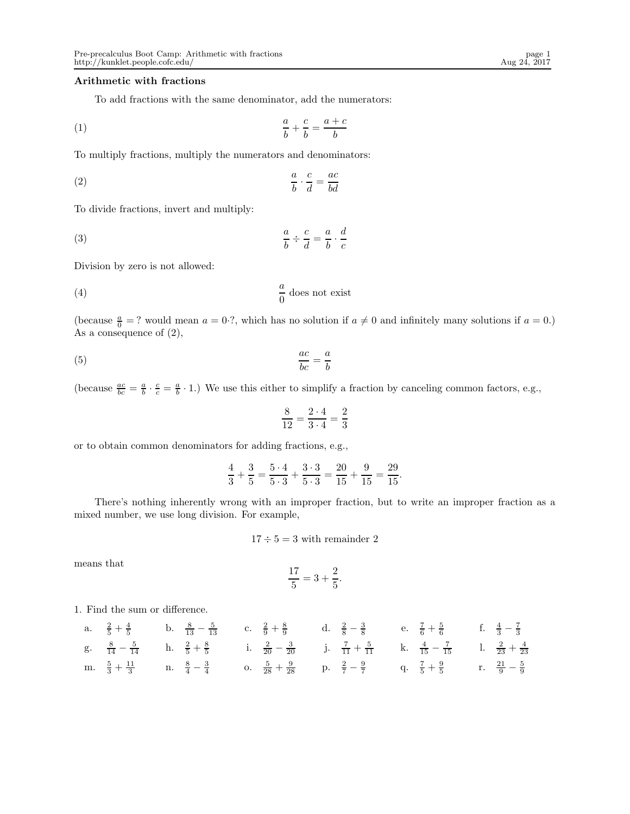# Arithmetic with fractions

To add fractions with the same denominator, add the numerators:

$$
\frac{a}{b} + \frac{c}{b} = \frac{a+c}{b}
$$

To multiply fractions, multiply the numerators and denominators:

$$
\frac{a}{b} \cdot \frac{c}{d} = \frac{ac}{bd}
$$

To divide fractions, invert and multiply:

(3) 
$$
\frac{a}{b} \div \frac{c}{d} = \frac{a}{b} \cdot \frac{d}{c}
$$

Division by zero is not allowed:

$$
\frac{a}{0} \text{ does not exist}
$$

(because  $\frac{a}{0}$  = ? would mean  $a = 0.$ ?, which has no solution if  $a \neq 0$  and infinitely many solutions if  $a = 0.$ ) As a consequence of  $(2)$ ,

$$
\frac{ac}{bc} = \frac{a}{b}
$$

(because  $\frac{ac}{bc} = \frac{a}{b} \cdot \frac{c}{c} = \frac{a}{b} \cdot 1$ .) We use this either to simplify a fraction by canceling common factors, e.g.,

$$
\frac{8}{12} = \frac{2 \cdot 4}{3 \cdot 4} = \frac{2}{3}
$$

or to obtain common denominators for adding fractions, e.g.,

$$
\frac{4}{3} + \frac{3}{5} = \frac{5 \cdot 4}{5 \cdot 3} + \frac{3 \cdot 3}{5 \cdot 3} = \frac{20}{15} + \frac{9}{15} = \frac{29}{15}.
$$

There's nothing inherently wrong with an improper fraction, but to write an improper fraction as a mixed number, we use long division. For example,

$$
17 \div 5 = 3
$$
 with remainder 2

means that

$$
\frac{17}{5} = 3 + \frac{2}{5}.
$$

1. Find the sum or difference.

a. 
$$
\frac{2}{5} + \frac{4}{5}
$$
 b.  $\frac{8}{13} - \frac{5}{13}$  c.  $\frac{2}{9} + \frac{8}{9}$  d.  $\frac{2}{8} - \frac{3}{8}$  e.  $\frac{7}{6} + \frac{5}{6}$  f.  $\frac{4}{3} - \frac{7}{3}$   
\ng.  $\frac{8}{14} - \frac{5}{14}$  h.  $\frac{2}{5} + \frac{8}{5}$  i.  $\frac{2}{20} - \frac{3}{20}$  j.  $\frac{7}{11} + \frac{5}{11}$  k.  $\frac{4}{15} - \frac{7}{15}$  l.  $\frac{2}{23} + \frac{4}{23}$   
\nm.  $\frac{5}{3} + \frac{11}{3}$  n.  $\frac{8}{4} - \frac{3}{4}$  o.  $\frac{5}{28} + \frac{9}{28}$  p.  $\frac{2}{7} - \frac{9}{7}$  q.  $\frac{7}{5} + \frac{9}{5}$  r.  $\frac{21}{9} - \frac{5}{9}$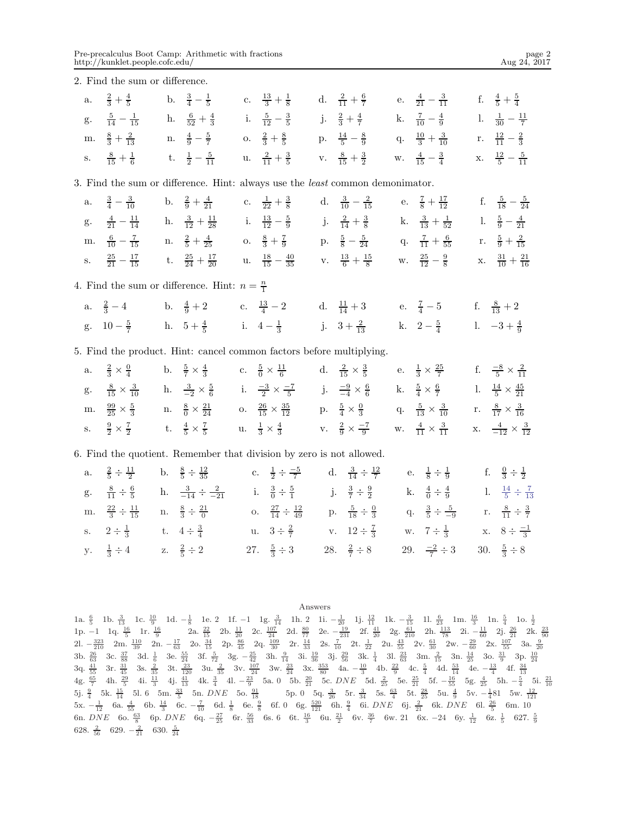2. Find the sum or difference.

|  |  |  |  | a. $\frac{2}{3} + \frac{4}{5}$ b. $\frac{3}{4} - \frac{1}{5}$ c. $\frac{13}{3} + \frac{1}{8}$ d. $\frac{2}{11} + \frac{6}{7}$ e. $\frac{4}{21} - \frac{3}{11}$ f. $\frac{4}{5} + \frac{5}{4}$    |  |
|--|--|--|--|--------------------------------------------------------------------------------------------------------------------------------------------------------------------------------------------------|--|
|  |  |  |  | g. $\frac{5}{14} - \frac{1}{15}$ h. $\frac{6}{52} + \frac{4}{3}$ i. $\frac{5}{12} - \frac{3}{5}$ j. $\frac{2}{3} + \frac{4}{7}$ k. $\frac{7}{10} - \frac{4}{9}$ 1. $\frac{1}{30} - \frac{11}{7}$ |  |
|  |  |  |  | m. $\frac{8}{3} + \frac{2}{13}$ n. $\frac{4}{9} - \frac{5}{7}$ o. $\frac{2}{3} + \frac{8}{5}$ p. $\frac{14}{5} - \frac{8}{9}$ q. $\frac{10}{3} + \frac{3}{10}$ r. $\frac{12}{11} - \frac{2}{3}$  |  |
|  |  |  |  | s. $\frac{8}{15} + \frac{1}{6}$ t. $\frac{1}{2} - \frac{5}{11}$ u. $\frac{2}{11} + \frac{3}{5}$ v. $\frac{8}{15} + \frac{3}{2}$ w. $\frac{4}{15} - \frac{3}{4}$ x. $\frac{12}{5} - \frac{5}{11}$ |  |

3. Find the sum or difference. Hint: always use the least common demonimator.

|  |  |  | a. $\frac{3}{4} - \frac{3}{10}$ b. $\frac{2}{9} + \frac{4}{21}$ c. $\frac{1}{22} + \frac{3}{8}$ d. $\frac{3}{10} - \frac{2}{15}$ e. $\frac{7}{8} + \frac{17}{12}$ f. $\frac{5}{18} - \frac{5}{24}$            |  |  |
|--|--|--|---------------------------------------------------------------------------------------------------------------------------------------------------------------------------------------------------------------|--|--|
|  |  |  | g. $\frac{4}{21} - \frac{11}{14}$ h. $\frac{3}{12} + \frac{11}{28}$ i. $\frac{13}{12} - \frac{5}{9}$ j. $\frac{2}{14} + \frac{3}{8}$ k. $\frac{3}{13} + \frac{1}{52}$ l. $\frac{5}{9} - \frac{4}{21}$         |  |  |
|  |  |  | m. $\frac{6}{10} - \frac{7}{15}$ n. $\frac{2}{5} + \frac{4}{25}$ o. $\frac{8}{3} + \frac{7}{9}$ p. $\frac{5}{8} - \frac{5}{24}$ q. $\frac{7}{11} + \frac{6}{55}$ r. $\frac{5}{9} + \frac{2}{15}$              |  |  |
|  |  |  | s. $\frac{25}{21} - \frac{17}{15}$ t. $\frac{25}{24} + \frac{17}{20}$ u. $\frac{18}{15} - \frac{40}{35}$ v. $\frac{13}{6} + \frac{15}{8}$ w. $\frac{25}{12} - \frac{9}{8}$ x. $\frac{31}{10} + \frac{21}{16}$ |  |  |

4. Find the sum or difference. Hint:  $n = \frac{n}{1}$ 

a.  $\frac{2}{3} - 4$  b.  $\frac{4}{9} + 2$  c.  $\frac{13}{4} - 2$  d.  $\frac{11}{14} + 3$  e.  $\frac{7}{4} - 5$  f.  $\frac{8}{13} + 2$ g.  $10 - \frac{5}{7}$  h.  $5 + \frac{4}{5}$  i.  $4 - \frac{1}{3}$  j.  $3 + \frac{2}{13}$  k.  $2 - \frac{5}{4}$  1.  $-3 + \frac{4}{9}$ 

5. Find the product. Hint: cancel common factors before multiplying.

|  |  | a. $\frac{2}{3} \times \frac{0}{4}$ b. $\frac{5}{7} \times \frac{4}{3}$ c. $\frac{5}{0} \times \frac{11}{6}$ d. $\frac{2}{15} \times \frac{3}{5}$ e. $\frac{1}{3} \times \frac{25}{7}$ f. $\frac{-8}{5} \times \frac{2}{11}$        |  |  |  |
|--|--|-------------------------------------------------------------------------------------------------------------------------------------------------------------------------------------------------------------------------------------|--|--|--|
|  |  | g. $\frac{8}{15} \times \frac{3}{10}$ h. $\frac{3}{-2} \times \frac{5}{6}$ i. $\frac{-3}{2} \times \frac{-7}{5}$ j. $\frac{-9}{-4} \times \frac{6}{6}$ k. $\frac{5}{4} \times \frac{6}{7}$ l. $\frac{14}{5} \times \frac{45}{21}$   |  |  |  |
|  |  | m. $\frac{99}{25} \times \frac{5}{3}$ n. $\frac{8}{0} \times \frac{21}{24}$ o. $\frac{26}{15} \times \frac{35}{12}$ p. $\frac{5}{4} \times \frac{0}{3}$ q. $\frac{5}{13} \times \frac{3}{10}$ r. $\frac{8}{17} \times \frac{3}{16}$ |  |  |  |
|  |  | s. $\frac{9}{2} \times \frac{7}{2}$ t. $\frac{4}{5} \times \frac{7}{5}$ u. $\frac{1}{3} \times \frac{4}{3}$ v. $\frac{2}{9} \times \frac{-7}{9}$ w. $\frac{4}{11} \times \frac{3}{11}$ x. $\frac{4}{-12} \times \frac{3}{12}$       |  |  |  |

6. Find the quotient. Remember that division by zero is not allowed.

|                                                                          | a. $\frac{2}{5} \div \frac{11}{2}$ b. $\frac{8}{5} \div \frac{12}{35}$ c. $\frac{1}{2} \div \frac{-5}{7}$ d. $\frac{3}{14} \div \frac{12}{7}$ e. $\frac{1}{8} \div \frac{1}{9}$ f. $\frac{0}{3} \div \frac{1}{2}$ |                                                                                                                                                |  |  |  |
|--------------------------------------------------------------------------|-------------------------------------------------------------------------------------------------------------------------------------------------------------------------------------------------------------------|------------------------------------------------------------------------------------------------------------------------------------------------|--|--|--|
| g. $\frac{8}{11} \div \frac{6}{5}$ h. $\frac{3}{-14} \div \frac{2}{-21}$ |                                                                                                                                                                                                                   | i. $\frac{3}{0} \div \frac{5}{1}$ j. $\frac{3}{7} \div \frac{9}{2}$ k. $\frac{4}{0} \div \frac{4}{9}$ l. $\frac{14}{5} \div \frac{7}{13}$      |  |  |  |
| m. $\frac{22}{3} \div \frac{11}{15}$ n. $\frac{8}{3} \div \frac{21}{0}$  |                                                                                                                                                                                                                   | o. $\frac{27}{14} \div \frac{12}{49}$ p. $\frac{5}{18} \div \frac{0}{3}$ q. $\frac{3}{5} \div \frac{5}{-9}$ r. $\frac{8}{11} \div \frac{3}{7}$ |  |  |  |
| s. $2 \div \frac{1}{3}$ t. $4 \div \frac{3}{4}$                          |                                                                                                                                                                                                                   | u. $3 \div \frac{2}{7}$ v. $12 \div \frac{7}{3}$ w. $7 \div \frac{1}{3}$ x. $8 \div \frac{-1}{3}$                                              |  |  |  |
| y. $\frac{1}{3} \div 4$ z. $\frac{2}{5} \div 2$                          |                                                                                                                                                                                                                   | 27. $\frac{5}{3} \div 3$ 28. $\frac{2}{7} \div 8$ 29. $\frac{-2}{7} \div 3$ 30. $\frac{5}{3} \div 8$                                           |  |  |  |

Answers

1a.  $\frac{6}{5}$  1b.  $\frac{3}{13}$  1c.  $\frac{10}{9}$  1d.  $-\frac{1}{8}$  1e. 2 1f. -1 1g.  $\frac{3}{14}$  1h. 2 1i.  $-\frac{1}{20}$  1j.  $\frac{12}{11}$  1k.  $-\frac{3}{15}$  1l.  $\frac{6}{25}$  1m.  $\frac{16}{3}$  1n.  $\frac{5}{4}$  1o.  $\frac{1}{2}$ <br>
1p. -1 1q.  $\frac{16}{5}$  1r 6n. *DNE* 6o.  $\frac{63}{8}$  6p. *DNE* 6q.  $-\frac{27}{25}$  6r.  $\frac{56}{33}$  6s. 6 6t.  $\frac{16}{3}$  6u.  $\frac{21}{2}$  6v.  $\frac{36}{7}$  6w. 21 6x.  $-24$  6y.  $\frac{1}{12}$  6z.  $\frac{1}{5}$  627.  $\frac{5}{9}$ <br>628  $\frac{2}{5}$  620  $\frac{2}{5}$  630  $\frac{5}{5}$ 628.  $\frac{2}{56}$  629.  $-\frac{2}{21}$  630.  $\frac{5}{24}$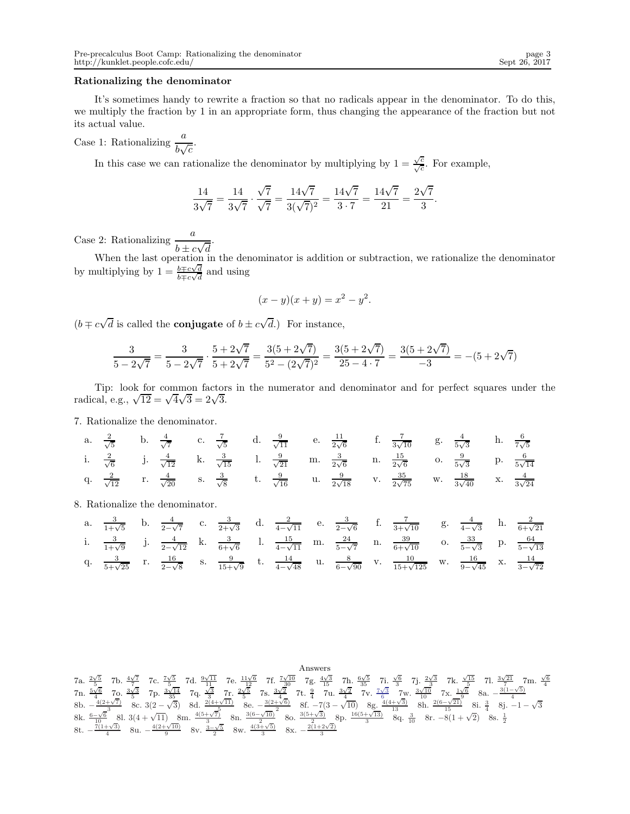## Rationalizing the denominator

It's sometimes handy to rewrite a fraction so that no radicals appear in the denominator. To do this, we multiply the fraction by 1 in an appropriate form, thus changing the appearance of the fraction but not its actual value.

Case 1: Rationalizing  $\frac{a}{b\sqrt{c}}$ .

In this case we can rationalize the denominator by multiplying by  $1 = \frac{\sqrt{c}}{\sqrt{c}}$ . For example,

$$
\frac{14}{3\sqrt{7}} = \frac{14}{3\sqrt{7}} \cdot \frac{\sqrt{7}}{\sqrt{7}} = \frac{14\sqrt{7}}{3(\sqrt{7})^2} = \frac{14\sqrt{7}}{3 \cdot 7} = \frac{14\sqrt{7}}{21} = \frac{2\sqrt{7}}{3}.
$$

Case 2: Rationalizing  $\frac{a}{\cdot}$  $b \pm c\sqrt{d}$ 

When the last operation in the denominator is addition or subtraction, we rationalize the denominator by multiplying by  $1 = \frac{b \mp c\sqrt{d}}{b \mp c\sqrt{d}}$  $\frac{b \mp c \sqrt{d}}{b \mp c \sqrt{d}}$  and using

$$
(x - y)(x + y) = x^2 - y^2.
$$

 $(b \mp c\sqrt{d})$  is called the **conjugate** of  $b \pm c\sqrt{d}$ .) For instance,

.

$$
\frac{3}{5-2\sqrt{7}} = \frac{3}{5-2\sqrt{7}} \cdot \frac{5+2\sqrt{7}}{5+2\sqrt{7}} = \frac{3(5+2\sqrt{7})}{5^2 - (2\sqrt{7})^2} = \frac{3(5+2\sqrt{7})}{25-4\cdot7} = \frac{3(5+2\sqrt{7})}{-3} = -(5+2\sqrt{7})
$$

Tip: look for common factors in the numerator and denominator and for perfect squares under the radical, e.g.,  $\sqrt{12} = \sqrt{4}\sqrt{3} = 2\sqrt{3}$ .

7. Rationalize the denominator.

a. 
$$
\frac{2}{\sqrt{5}}
$$
 b.  $\frac{4}{\sqrt{7}}$  c.  $\frac{7}{\sqrt{5}}$  d.  $\frac{9}{\sqrt{11}}$  e.  $\frac{11}{2\sqrt{6}}$  f.  $\frac{7}{3\sqrt{10}}$  g.  $\frac{4}{5\sqrt{3}}$  h.  $\frac{6}{7\sqrt{5}}$   
\ni.  $\frac{2}{\sqrt{6}}$  j.  $\frac{4}{\sqrt{12}}$  k.  $\frac{3}{\sqrt{15}}$  l.  $\frac{9}{\sqrt{21}}$  m.  $\frac{3}{2\sqrt{6}}$  n.  $\frac{15}{2\sqrt{6}}$  o.  $\frac{9}{5\sqrt{3}}$  p.  $\frac{6}{5\sqrt{14}}$   
\nq.  $\frac{2}{\sqrt{12}}$  r.  $\frac{4}{\sqrt{20}}$  s.  $\frac{3}{\sqrt{8}}$  t.  $\frac{9}{\sqrt{16}}$  u.  $\frac{9}{2\sqrt{18}}$  v.  $\frac{35}{2\sqrt{75}}$  w.  $\frac{18}{3\sqrt{40}}$  x.  $\frac{4}{3\sqrt{24}}$ 

8. Rationalize the denominator.

|  |  |  |  |  | a. $\frac{3}{1+\sqrt{5}}$ b. $\frac{4}{2-\sqrt{7}}$ c. $\frac{3}{2+\sqrt{3}}$ d. $\frac{2}{4-\sqrt{11}}$ e. $\frac{3}{2-\sqrt{6}}$ f. $\frac{7}{3+\sqrt{10}}$ g. $\frac{4}{4-\sqrt{3}}$ h. $\frac{2}{6+\sqrt{21}}$            |  |  |
|--|--|--|--|--|-------------------------------------------------------------------------------------------------------------------------------------------------------------------------------------------------------------------------------|--|--|
|  |  |  |  |  | i. $\frac{3}{1+\sqrt{9}}$ j. $\frac{4}{2-\sqrt{12}}$ k. $\frac{3}{6+\sqrt{6}}$ l. $\frac{15}{4-\sqrt{11}}$ m. $\frac{24}{5-\sqrt{7}}$ n. $\frac{39}{6+\sqrt{10}}$ o. $\frac{33}{5-\sqrt{3}}$ p. $\frac{64}{5-\sqrt{13}}$      |  |  |
|  |  |  |  |  | q. $\frac{3}{5+\sqrt{25}}$ r. $\frac{16}{2-\sqrt{8}}$ s. $\frac{9}{15+\sqrt{9}}$ t. $\frac{14}{4-\sqrt{48}}$ u. $\frac{8}{6-\sqrt{90}}$ v. $\frac{10}{15+\sqrt{125}}$ w. $\frac{16}{9-\sqrt{45}}$ x. $\frac{14}{3-\sqrt{72}}$ |  |  |

\n**7a.** 
$$
\frac{2\sqrt{5}}{5}
$$
 7b.  $\frac{4\sqrt{7}}{7}$  7c.  $\frac{7\sqrt{5}}{3}$  7d.  $\frac{9\sqrt{11}}{11}$  7e.  $\frac{11\sqrt{6}}{12}$  7f.  $\frac{7\sqrt{10}}{3}$  7g.  $\frac{4\sqrt{3}}{3}$  7h.  $\frac{6\sqrt{5}}{3}$  7i.  $\frac{\sqrt{6}}{3}$  7j.  $\frac{2\sqrt{3}}{3}$  7k.  $\frac{\sqrt{15}}{5}$  7l.  $\frac{3\sqrt{21}}{4}$  7m.  $\frac{\sqrt{6}}{4}$  7n.  $\frac{5\sqrt{6}}{5}$  7o.  $\frac{3\sqrt{3}}{5}$  7p.  $\frac{3\sqrt{14}}{35}$  7q.  $\frac{\sqrt{3}}{3}$  7r.  $\frac{2\sqrt{5}}{3}$  7s.  $\frac{3\sqrt{2}}{2}$  7t.  $\frac{9}{4}$  7u.  $\frac{3\sqrt{2}}{4}$  7v.  $\frac{7\sqrt{3}}{10}$  7w.  $\frac{3\sqrt{10}}{10}$  7x.  $\frac{1\sqrt{6}}{4}$  8a.  $-\frac{3(1-\sqrt{5})}{4}$  8b.  $-\frac{4(2+\sqrt{7})}{3}$  8c.  $3(2-\sqrt{3})$  8d.  $\frac{2(4+\sqrt{11})}{2}$  8e.  $-\frac{3(2+\sqrt{6})}{2}$  8f.  $-7(3-\sqrt{10})$  8g.  $\frac{4(4+\sqrt{3})}{13}$  8h.  $\frac{2(6-\sqrt{21})}{15}$  8i.  $\frac{3}{4}$  8j.  $-1-\sqrt{3}$  8k.  $-\frac{6\sqrt{6}}{10}$  8l.  $3(4+\sqrt{11})$  8m.  $\frac{4(5+\sqrt{7})}{3}$  8n.  $\frac{3($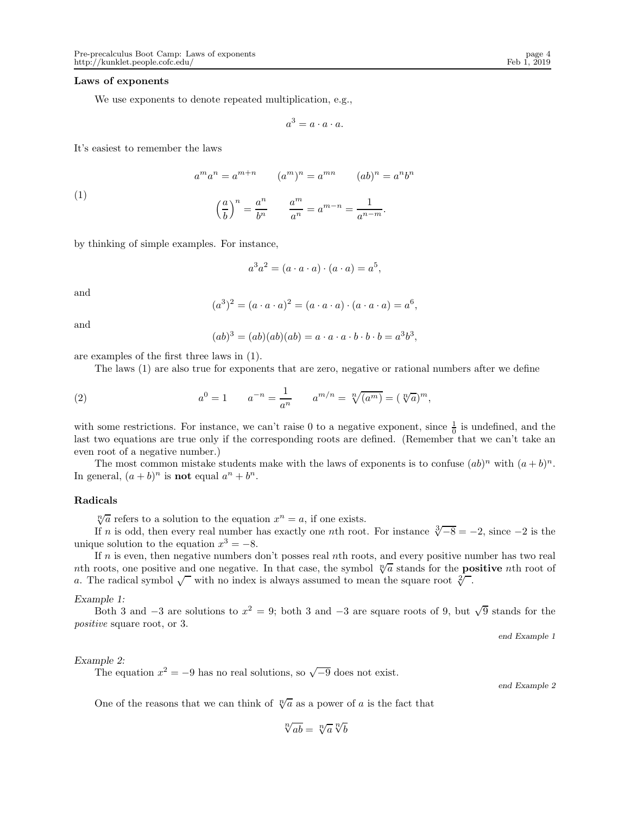#### Laws of exponents

We use exponents to denote repeated multiplication, e.g.,

$$
a^3 = a \cdot a \cdot a.
$$

It's easiest to remember the laws

(1)  

$$
a^m a^n = a^{m+n} \qquad (a^m)^n = a^{mn} \qquad (ab)^n = a^n b^n
$$

$$
\left(\frac{a}{b}\right)^n = \frac{a^n}{b^n} \qquad \frac{a^m}{a^n} = a^{m-n} = \frac{1}{a^{n-m}}.
$$

by thinking of simple examples. For instance,

$$
a^3a^2 = (a \cdot a \cdot a) \cdot (a \cdot a) = a^5,
$$

and

$$
(a3)2 = (a \cdot a \cdot a)2 = (a \cdot a \cdot a) \cdot (a \cdot a \cdot a) = a6,
$$

and

$$
(ab)3 = (ab)(ab)(ab) = a \cdot a \cdot a \cdot b \cdot b \cdot b = a3b3,
$$

are examples of the first three laws in (1).

The laws (1) are also true for exponents that are zero, negative or rational numbers after we define

(2) 
$$
a^0 = 1
$$
  $a^{-n} = \frac{1}{a^n}$   $a^{m/n} = \sqrt[n]{(a^m)} = (\sqrt[n]{a})^m$ ,

with some restrictions. For instance, we can't raise 0 to a negative exponent, since  $\frac{1}{0}$  is undefined, and the last two equations are true only if the corresponding roots are defined. (Remember that we can't take an even root of a negative number.)

The most common mistake students make with the laws of exponents is to confuse  $(ab)^n$  with  $(a + b)^n$ . In general,  $(a + b)^n$  is **not** equal  $a^n + b^n$ .

# Radicals

 $\sqrt[n]{a}$  refers to a solution to the equation  $x^n = a$ , if one exists.

If n is odd, then every real number has exactly one nth root. For instance  $\sqrt[3]{-8} = -2$ , since  $-2$  is the unique solution to the equation  $x^3 = -8$ .

If  $n$  is even, then negative numbers don't posses real nth roots, and every positive number has two real nth roots, one positive and one negative. In that case, the symbol  $\sqrt[n]{a}$  stands for the **positive** nth root of a. The radical symbol  $\sqrt{\ }$  with no index is always assumed to mean the square root  $\sqrt[2]{\ }$ .

### *Example 1:*

Both 3 and  $-3$  are solutions to  $x^2 = 9$ ; both 3 and  $-3$  are square roots of 9, but  $\sqrt{9}$  stands for the positive square root, or 3.

end Example 1

# *Example 2:*

The equation  $x^2 = -9$  has no real solutions, so  $\sqrt{-9}$  does not exist.

end Example 2

One of the reasons that we can think of  $\sqrt[n]{a}$  as a power of a is the fact that

$$
\sqrt[n]{ab} = \sqrt[n]{a} \sqrt[n]{b}
$$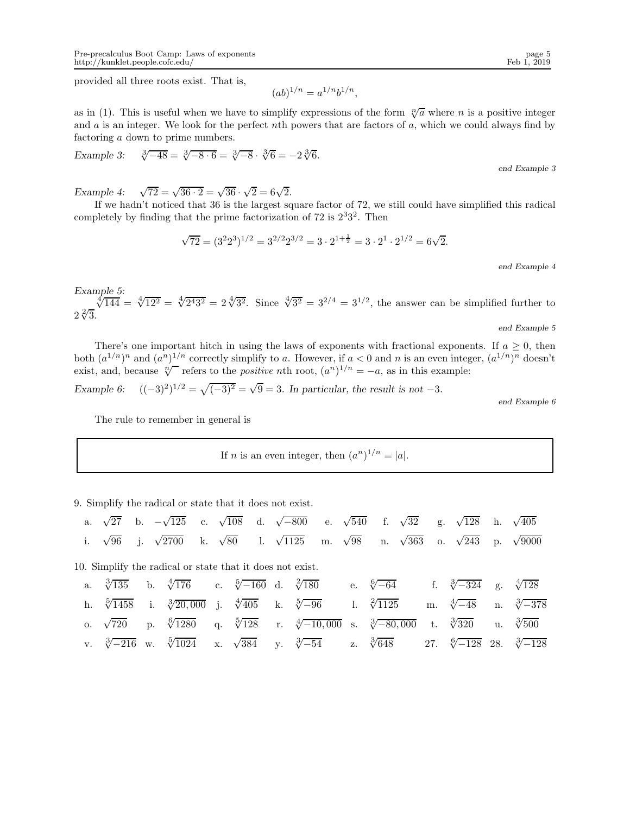provided all three roots exist. That is,

$$
(ab)^{1/n} = a^{1/n}b^{1/n},
$$

as in (1). This is useful when we have to simplify expressions of the form  $\sqrt[n]{a}$  where n is a positive integer and  $a$  is an integer. We look for the perfect nth powers that are factors of  $a$ , which we could always find by factoring a down to prime numbers.

Example 3: 
$$
\sqrt[3]{-48} = \sqrt[3]{-8 \cdot 6} = \sqrt[3]{-8} \cdot \sqrt[3]{6} = -2\sqrt[3]{6}.
$$

end Example 3

*Example 4:* <sup>√</sup>  $\overline{72} = \sqrt{36 \cdot 2} = \sqrt{36} \cdot \sqrt{2} = 6\sqrt{2}.$ 

If we hadn't noticed that 36 is the largest square factor of 72, we still could have simplified this radical completely by finding that the prime factorization of  $72$  is  $2^33^2$ . Then

$$
\sqrt{72} = (3^2 2^3)^{1/2} = 3^{2/2} 2^{3/2} = 3 \cdot 2^{1 + \frac{1}{2}} = 3 \cdot 2^1 \cdot 2^{1/2} = 6\sqrt{2}.
$$

end Example 4

Example 5:<br>  $\sqrt[4]{144} = \sqrt[4]{12^2} = \sqrt[4]{2^4 3^2} = 2\sqrt[4]{3^2}$ . Since  $\sqrt[4]{3^2} = 3^{2/4} = 3^{1/2}$ , the answer can be simplified further to  $2\sqrt[2]{3}$ . end Example 5

There's one important hitch in using the laws of exponents with fractional exponents. If  $a \geq 0$ , then both  $(a^{1/n})^n$  and  $(a^n)^{1/n}$  correctly simplify to a. However, if  $a < 0$  and n is an even integer,  $(a^{1/n})^n$  doesn't

exist, and, because  $\sqrt[n]{\ }$  refers to the *positive* nth root,  $(a^n)^{1/n} = -a$ , as in this example: *Example 6:*  $(1)^{1/2} = \sqrt{(-3)^2} = \sqrt{9} = 3$ . In particular, the result is not -3*.* 

end Example 6

The rule to remember in general is

If *n* is an even integer, then  $(a^n)^{1/n} = |a|$ .

9. Simplify the radical or state that it does not exist.

| a.         | $\sqrt{27}$         |    | b. $-\sqrt{125}$                                          | c. $\sqrt{108}$ |                                                                  |                  | d. $\sqrt{-800}$ e. $\sqrt{540}$ |    | f.                             | $\sqrt{32}$ |    | g. $\sqrt{128}$     |             | h. $\sqrt{405}$                           |
|------------|---------------------|----|-----------------------------------------------------------|-----------------|------------------------------------------------------------------|------------------|----------------------------------|----|--------------------------------|-------------|----|---------------------|-------------|-------------------------------------------|
| i.         | $\sqrt{96}$         | j. | $\sqrt{2700}$                                             |                 | k. $\sqrt{80}$                                                   | 1. $\sqrt{1125}$ |                                  |    | m. $\sqrt{98}$ n. $\sqrt{363}$ |             |    | o. $\sqrt{243}$ p.  |             | $\sqrt{9000}$                             |
|            |                     |    | 10. Simplify the radical or state that it does not exist. |                 |                                                                  |                  |                                  |    |                                |             |    |                     |             |                                           |
| a.         | $\sqrt[3]{135}$     |    | b. $\sqrt[4]{176}$ c. $\sqrt[5]{-160}$ d. $\sqrt[2]{180}$ |                 |                                                                  |                  |                                  |    | e. $\sqrt[6]{-64}$             |             |    | f. $\sqrt[3]{-324}$ | $g_{\cdot}$ | $\sqrt[4]{128}$                           |
| h.         | $\sqrt[5]{1458}$ i. |    | $\sqrt[3]{20,000}$                                        |                 | j. $\sqrt[4]{405}$ k. $\sqrt[5]{-96}$                            |                  |                                  |    | 1. $\sqrt[2]{1125}$            |             |    | m. $\sqrt[4]{-48}$  |             | n. $\sqrt[3]{-378}$                       |
| $\Omega$ . | $\sqrt{720}$        | D. | $\sqrt[6]{1280}$                                          |                 | q. $\sqrt[5]{128}$ r. $\sqrt[4]{-10,000}$ s. $\sqrt[3]{-80,000}$ |                  |                                  |    |                                |             | t. | $\sqrt[3]{320}$     | u.          | $\sqrt[3]{500}$                           |
|            |                     |    | v. $\sqrt[3]{-216}$ w. $\sqrt[5]{1024}$                   |                 | x. $\sqrt{384}$ y. $\sqrt[3]{-54}$                               |                  |                                  | Z. | $\sqrt[3]{648}$                |             |    |                     |             | 27. $\sqrt[6]{-128}$ 28. $\sqrt[3]{-128}$ |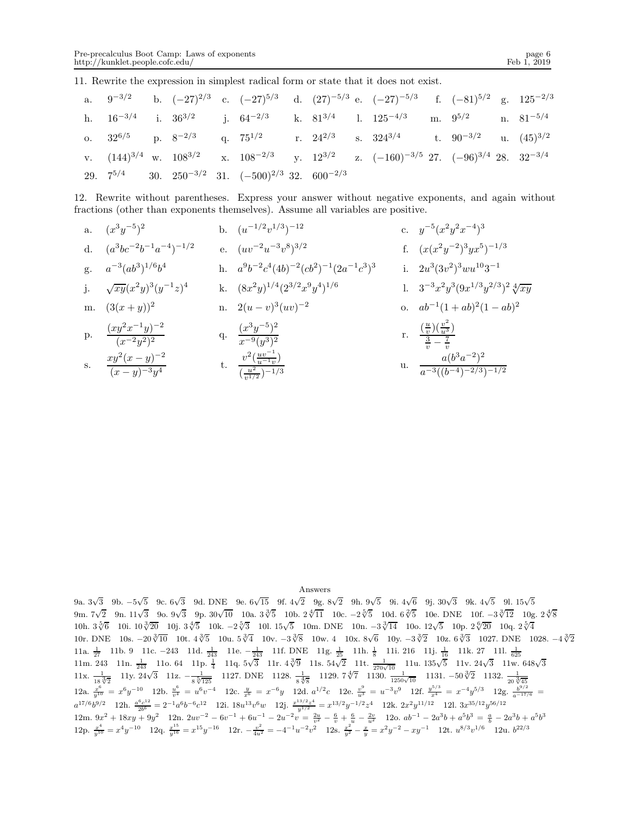$a^{-3}((b^{-4})^{-2/3})^{-1/2}$ 

11. Rewrite the expression in simplest radical form or state that it does not exist.

|  |  |                                                                    |  | a. $9^{-3/2}$ b. $(-27)^{2/3}$ c. $(-27)^{5/3}$ d. $(27)^{-5/3}$ e. $(-27)^{-5/3}$ f. $(-81)^{5/2}$ g. $125^{-2/3}$ |  |  |
|--|--|--------------------------------------------------------------------|--|---------------------------------------------------------------------------------------------------------------------|--|--|
|  |  |                                                                    |  | h. $16^{-3/4}$ i. $36^{3/2}$ j. $64^{-2/3}$ k. $81^{3/4}$ l. $125^{-4/3}$ m. $9^{5/2}$ n. $81^{-5/4}$               |  |  |
|  |  |                                                                    |  | o. $32^{6/5}$ p. $8^{-2/3}$ q. $75^{1/2}$ r. $24^{2/3}$ s. $324^{3/4}$ t. $90^{-3/2}$ u. $(45)^{3/2}$               |  |  |
|  |  |                                                                    |  | v. $(144)^{3/4}$ w. $108^{3/2}$ x. $108^{-2/3}$ y. $12^{3/2}$ z. $(-160)^{-3/5}$ 27. $(-96)^{3/4}$ 28. $32^{-3/4}$  |  |  |
|  |  | 29. $7^{5/4}$ 30. $250^{-3/2}$ 31. $(-500)^{2/3}$ 32. $600^{-2/3}$ |  |                                                                                                                     |  |  |

12. Rewrite without parentheses. Express your answer without negative exponents, and again without fractions (other than exponents themselves). Assume all variables are positive.

a. 
$$
(x^3y^{-5})^2
$$
  
\nb.  $(u^{-1/2}v^{1/3})^{-12}$   
\nc.  $y^{-5}(x^2y^2x^{-4})^3$   
\nd.  $(a^3bc^{-2}b^{-1}a^{-4})^{-1/2}$   
\ne.  $(uv^{-2}u^{-3}v^8)^{3/2}$   
\nf.  $(x(x^2y^{-2})^3yx^5)^{-1/3}$   
\ng.  $a^{-3}(ab^3)^{1/6}b^4$   
\nh.  $a^9b^{-2}c^4(4b)^{-2}(cb^2)^{-1}(2a^{-1}c^3)^3$   
\ni.  $2u^3(3v^2)^3wu^{10}3^{-1}$   
\nj.  $\sqrt{xy}(x^2y)^3(y^{-1}z)^4$   
\nk.  $(8x^2y)^{1/4}(2^{3/2}x^9y^4)^{1/6}$   
\nl.  $3^{-3}x^2y^3(9x^{1/3}y^{2/3})^2\sqrt[4]{xy}$   
\nm.  $(3(x+y))^2$   
\nn.  $2(u-v)^3(uv)^{-2}$   
\no.  $ab^{-1}(1+ab)^2(1-ab)^2$   
\np.  $\frac{(xy^2x^{-1}y)^{-2}}{(x^{-2}y^2)^2}$   
\nq.  $\frac{(x^3y^{-5})^2}{x^{-9}(y^3)^2}$   
\nr.  $\frac{(\frac{u}{v})(\frac{v^2}{u^3})}{\frac{3}{v}-\frac{7}{v}}$   
\ns.  $\frac{xy^2(x-y)^{-2}}{(x-y)^{-3}y^4}$   
\nt.  $\frac{v^2(\frac{uv^{-1}}{v^{1/2}})^{-1/3}}$   
\nu.  $\frac{a(b^3a^{-2})^2}{a^{-3}((b^{-4})^{-2/3})^{-1/2}}$ 

s. 
$$
\frac{xy^2(x-y)^2}{(x-y)^{-3}y^4}
$$

#### Answers

9a.  $3\sqrt{3}$  9b. −5 $\sqrt{5}$  9c.  $6\sqrt{3}$  9d. DNE 9e.  $6\sqrt{15}$  9f.  $4\sqrt{2}$  9g.  $8\sqrt{2}$  9h.  $9\sqrt{5}$  9i.  $4\sqrt{6}$  9j.  $30\sqrt{3}$  9k.  $4\sqrt{5}$  9l.  $15\sqrt{5}$ 9m. 7√2 9n. 11√3 9o. 9√3 9p. 30√ $\overline{10}$  10a. 3∛ $\overline{5}$  10b. 2∜ $\overline{11}$  10c. −2 $\overline{5}$  10d. 6<sup>2</sup> $\overline{5}$  10e. DNE 10f. −3 $\sqrt[3]{12}$  10g. 2<sup>4</sup> $\overline{8}$ 10h.  $3\sqrt[5]{6}$  10i.  $10\sqrt[3]{20}$  10j.  $3\sqrt[4]{5}$  10k. −2 $\sqrt[5]{3}$  10l.  $15\sqrt{5}$  10m. DNE 10n. −3 $\sqrt[3]{14}$  10o.  $12\sqrt{5}$  10p.  $2\sqrt[6]{20}$  10q.  $2\sqrt[5]{4}$ 10r. DNE  $10s. -20\sqrt[3]{10}$  10t.  $4\sqrt[3]{5}$  10u.  $5\sqrt[3]{4}$  10v.  $-3\sqrt[3]{8}$  10w. 4 10x.  $8\sqrt{6}$  10y.  $-3\sqrt[3]{2}$  10z.  $6\sqrt[3]{3}$  1027. DNE 1028.  $-4\sqrt[3]{2}$ 11a.  $\frac{1}{27}$  11b. 9 11c. -243 11d.  $\frac{1}{243}$  11e. - $\frac{1}{243}$  11f. DNE 11g.  $\frac{1}{25}$  11h.  $\frac{1}{8}$  11i. 216 11j.  $\frac{1}{16}$  11k. 27 11l.  $\frac{1}{625}$ <br>11m. 243 11n.  $\frac{1}{243}$  11o. 64 11p.  $\frac{1}{4}$  11q.  $5\sqrt{3}$  11x.  $\frac{1}{18\sqrt[3]{2}}$  11y.  $\frac{24\sqrt{3}}{112}$  112.  $-\frac{1}{8\sqrt[3]{125}}$  1127. DNE 1128.  $\frac{1}{8\sqrt[4]{8}}$  1129.  $7\sqrt[4]{7}$  1130.  $\frac{1}{1250\sqrt{10}}$  1131.  $-50\sqrt[3]{2}$  1132.  $\frac{1}{20\sqrt[3]{45}}$  $12a. \frac{x^6}{y^{10}} = x^6y^{-10}$  12b.  $\frac{u^6}{v^4} = u^6v^{-4}$  12c.  $\frac{y}{x^6} = x^{-6}y$  12d.  $a^{1/2}c$  12e.  $\frac{v^9}{u^3} = u^{-3}v^9$  12f.  $\frac{y^{5/3}}{x^4} = x^{-4}y^{5/3}$  12g.  $\frac{b^{9/2}}{a^{-17/6}} =$  $a^{17/6}b^{9/2}$  12h.  $\frac{a^6c^{12}}{2b^6} = 2^{-1}a^6b^{-6}c^{12}$  12i.  $18u^{13}v^6w$  12j.  $\frac{x^{13/2}z^4}{y^{1/2}} = x^{13/2}y^{-1/2}z^4$  12k.  $2x^2y^{11/12}$  12l.  $3x^{35/12}y^{56/12}$ 12m.  $9x^2 + 18xy + 9y^2$  12n.  $2uv^{-2} - 6v^{-1} + 6u^{-1} - 2u^{-2}v = \frac{2u}{v^2} - \frac{6}{v} + \frac{6}{u} - \frac{2v}{u^2}$  12o.  $ab^{-1} - 2a^3b + a^5b^3 = \frac{a}{b} - 2a^3b + a^5b^3$ 12p.  $\frac{x^4}{y^{10}} = x^4y^{-10}$  12q.  $\frac{x^{15}}{y^{16}} = x^{15}y^{-16}$  12r.  $-\frac{v^2}{4u^2} = -4^{-1}u^{-2}v^2$  12s.  $\frac{x^2}{y^2} - \frac{x}{y} = x^2y^{-2} - xy^{-1}$  12t.  $u^{8/3}v^{1/6}$  12u.  $b^{22/3}$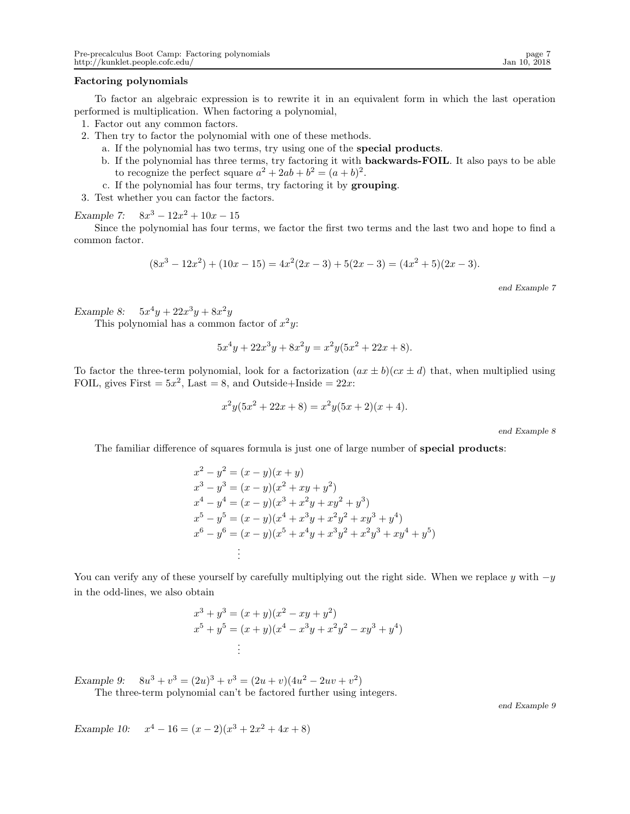### Factoring polynomials

To factor an algebraic expression is to rewrite it in an equivalent form in which the last operation performed is multiplication. When factoring a polynomial,

- 1. Factor out any common factors.
- 2. Then try to factor the polynomial with one of these methods.
	- a. If the polynomial has two terms, try using one of the special products.
	- b. If the polynomial has three terms, try factoring it with backwards-FOIL. It also pays to be able to recognize the perfect square  $a^2 + 2ab + b^2 = (a + b)^2$ .
	- c. If the polynomial has four terms, try factoring it by grouping.
- 3. Test whether you can factor the factors.

*Example 7:*  $8x^3 - 12x^2 + 10x - 15$ 

Since the polynomial has four terms, we factor the first two terms and the last two and hope to find a common factor.

$$
(8x3 - 12x2) + (10x - 15) = 4x2(2x - 3) + 5(2x - 3) = (4x2 + 5)(2x - 3).
$$

end Example 7

*Example 8:*  $5x^4y + 22x^3y + 8x^2y$ 

This polynomial has a common factor of  $x^2y$ :

$$
5x^4y + 22x^3y + 8x^2y = x^2y(5x^2 + 22x + 8).
$$

To factor the three-term polynomial, look for a factorization  $(ax \pm b)(cx \pm d)$  that, when multiplied using FOIL, gives First  $= 5x^2$ , Last  $= 8$ , and Outside+Inside  $= 22x$ :

$$
x^{2}y(5x^{2} + 22x + 8) = x^{2}y(5x + 2)(x + 4).
$$

end Example 8

The familiar difference of squares formula is just one of large number of special products:

$$
x^{2}-y^{2} = (x - y)(x + y)
$$
  
\n
$$
x^{3}-y^{3} = (x - y)(x^{2} + xy + y^{2})
$$
  
\n
$$
x^{4}-y^{4} = (x - y)(x^{3} + x^{2}y + xy^{2} + y^{3})
$$
  
\n
$$
x^{5}-y^{5} = (x - y)(x^{4} + x^{3}y + x^{2}y^{2} + xy^{3} + y^{4})
$$
  
\n
$$
x^{6}-y^{6} = (x - y)(x^{5} + x^{4}y + x^{3}y^{2} + x^{2}y^{3} + xy^{4} + y^{5})
$$
  
\n
$$
\vdots
$$

You can verify any of these yourself by carefully multiplying out the right side. When we replace y with  $-y$ in the odd-lines, we also obtain

$$
x3 + y3 = (x + y)(x2 - xy + y2)
$$
  
\n
$$
x5 + y5 = (x + y)(x4 - x3y + x2y2 - xy3 + y4)
$$
  
\n
$$
\vdots
$$

*Example 9:*  $3 + v^3 = (2u)^3 + v^3 = (2u + v)(4u^2 - 2uv + v^2)$ 

The three-term polynomial can't be factored further using integers.

end Example 9

*Example 10:*  $x^4 - 16 = (x - 2)(x^3 + 2x^2 + 4x + 8)$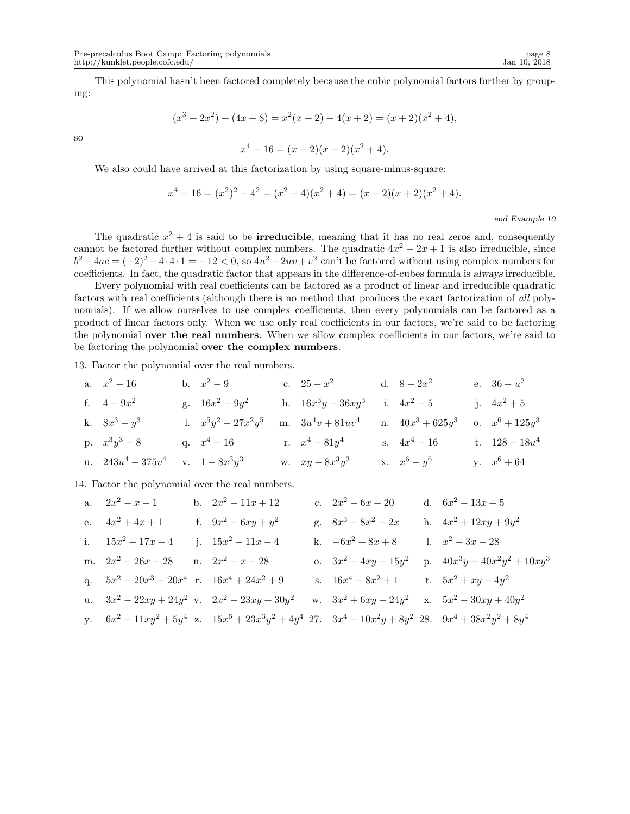This polynomial hasn't been factored completely because the cubic polynomial factors further by grouping:

$$
(x3 + 2x2) + (4x + 8) = x2(x + 2) + 4(x + 2) = (x + 2)(x2 + 4),
$$

so

$$
x^4 - 16 = (x - 2)(x + 2)(x^2 + 4).
$$

We also could have arrived at this factorization by using square-minus-square:

$$
x4 - 16 = (x2)2 - 42 = (x2 - 4)(x2 + 4) = (x - 2)(x + 2)(x2 + 4).
$$

## end Example 10

The quadratic  $x^2 + 4$  is said to be **irreducible**, meaning that it has no real zeros and, consequently cannot be factored further without complex numbers. The quadratic  $4x^2 - 2x + 1$  is also irreducible, since  $b^2 - 4ac = (-2)^2 - 4 \cdot 4 \cdot 1 = -12 < 0$ , so  $4u^2 - 2uv + v^2$  can't be factored without using complex numbers for coefficients. In fact, the quadratic factor that appears in the difference-of-cubes formula is *always* irreducible.

Every polynomial with real coefficients can be factored as a product of linear and irreducible quadratic factors with real coefficients (although there is no method that produces the exact factorization of all polynomials). If we allow ourselves to use complex coefficients, then every polynomials can be factored as a product of linear factors only. When we use only real coefficients in our factors, we're said to be factoring the polynomial over the real numbers. When we allow complex coefficients in our factors, we're said to be factoring the polynomial over the complex numbers.

13. Factor the polynomial over the real numbers.

| a. $x^2 - 16$        | b. $x^2 - 9$           | c. $25 - x^2$        | d. $8 - 2x^2$       | e. $36 - u^2$     |
|----------------------|------------------------|----------------------|---------------------|-------------------|
| f. $4 - 9x^2$        | g. $16x^2 - 9y^2$      | h. $16x^3y - 36xy^3$ | i. $4x^2 - 5$       | j. $4x^2 + 5$     |
| k. $8x^3 - y^3$      | l. $x^5y^2 - 27x^2y^5$ | m. $3u^4v + 81uv^4$  | n. $40x^3 + 625y^3$ | o. $x^6 + 125y^3$ |
| p. $x^3y^3 - 8$      | q. $x^4 - 16$          | r. $x^4 - 81y^4$     | s. $4x^4 - 16$      | t. $128 - 18u^4$  |
| u. $243u^4 - 375v^4$ | v. $1 - 8x^3y^3$       | w. $xy - 8x^3y^3$    | x. $x^6 - y^6$      | y. $x^6 + 64$     |

14. Factor the polynomial over the real numbers.

a. 
$$
2x^2 - x - 1
$$
 b.  $2x^2 - 11x + 12$  c.  $2x^2 - 6x - 20$  d.  $6x^2 - 13x + 5$   
\ne.  $4x^2 + 4x + 1$  f.  $9x^2 - 6xy + y^2$  g.  $8x^3 - 8x^2 + 2x$  h.  $4x^2 + 12xy + 9y^2$   
\ni.  $15x^2 + 17x - 4$  j.  $15x^2 - 11x - 4$  k.  $-6x^2 + 8x + 8$  l.  $x^2 + 3x - 28$   
\nm.  $2x^2 - 26x - 28$  n.  $2x^2 - x - 28$  o.  $3x^2 - 4xy - 15y^2$  p.  $40x^3y + 40x^2y^2 + 10xy^3$   
\nq.  $5x^2 - 20x^3 + 20x^4$  r.  $16x^4 + 24x^2 + 9$  s.  $16x^4 - 8x^2 + 1$  t.  $5x^2 + xy - 4y^2$   
\nu.  $3x^2 - 22xy + 24y^2$  v.  $2x^2 - 23xy + 30y^2$  w.  $3x^2 + 6xy - 24y^2$  x.  $5x^2 - 30xy + 40y^2$   
\ny.  $6x^2 - 11xy^2 + 5y^4$  z.  $15x^6 + 23x^3y^2 + 4y^4$  27.  $3x^4 - 10x^2y + 8y^2$  28.  $9x^4 + 38x^2y^2 + 8y^4$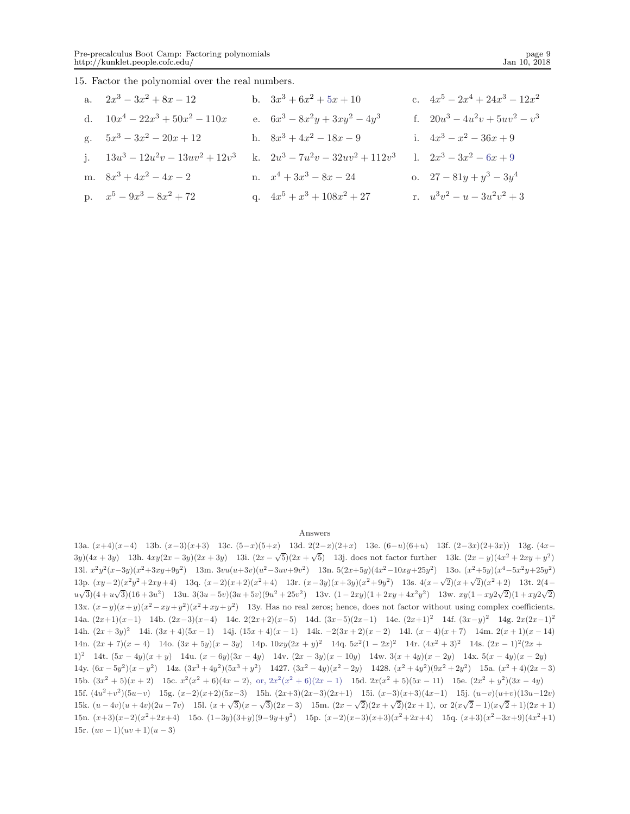15. Factor the polynomial over the real numbers.

| a. $2x^3 - 3x^2 + 8x - 12$           | b. $3x^3 + 6x^2 + 5x + 10$          | c. $4x^5 - 2x^4 + 24x^3 - 12x^2$ |
|--------------------------------------|-------------------------------------|----------------------------------|
| d. $10x^4 - 22x^3 + 50x^2 - 110x$    | e. $6x^3 - 8x^2y + 3xy^2 - 4y^3$    | f. $20u^3 - 4u^2v + 5uv^2 - v^3$ |
| g. $5x^3 - 3x^2 - 20x + 12$          | h. $8x^3 + 4x^2 - 18x - 9$          | i. $4x^3 - x^2 - 36x + 9$        |
| j. $13u^3 - 12u^2v - 13uv^2 + 12v^3$ | k. $2u^3 - 7u^2v - 32uv^2 + 112v^3$ | 1. $2x^3 - 3x^2 - 6x + 9$        |
| m. $8x^3 + 4x^2 - 4x - 2$            | n. $x^4 + 3x^3 - 8x - 24$           | o. $27 - 81y + y^3 - 3y^4$       |
| p. $x^5 - 9x^3 - 8x^2 + 72$          | q. $4x^5 + x^3 + 108x^2 + 27$       | r. $u^3v^2 - u - 3u^2v^2 + 3$    |

### Answers

13a.  $(x+4)(x-4)$  13b.  $(x-3)(x+3)$  13c.  $(5-x)(5+x)$  13d.  $2(2-x)(2+x)$  13e.  $(6-u)(6+u)$  13f.  $(2-3x)(2+3x)$  13g.  $(4x−4)(x-4)$ 3y)(4x + 3y) 13h.  $4xy(2x - 3y)(2x + 3y)$  13i.  $(2x - \sqrt{5})(2x + \sqrt{5})$  13j. does not factor further 13k.  $(2x - y)(4x^2 + 2xy + y^2)$ 13l.  $x^2y^2(x-3y)(x^2+3xy+9y^2)$  13m.  $3vu(u+3v)(u^2-3uv+9v^2)$  13n.  $5(2x+5y)(4x^2-10xy+25y^2)$  13o.  $(x^2+5y)(x^4-5x^2y+25y^2)$ 13p.  $(xy-2)(x^2y^2+2xy+4)$  13q.  $(x-2)(x+2)(x^2+4)$  13r.  $(x-3y)(x+3y)(x^2+9y^2)$  13s.  $4(x-\sqrt{2})(x+\sqrt{2})(x^2+2)$  13t. 2(4−  $u\sqrt{3}(4+u\sqrt{3})(16+3u^2)$  13u.  $3(3u-5v)(3u+5v)(9u^2+25v^2)$  13v.  $(1-2xy)(1+2xy+4x^2y^2)$  13w.  $xy(1-xy2\sqrt{2})(1+xy2\sqrt{2})$ 13x.  $(x-y)(x+y)(x^2-xy+y^2)(x^2+xy+y^2)$  13y. Has no real zeros; hence, does not factor without using complex coefficients. 14a.  $(2x+1)(x-1)$  14b.  $(2x-3)(x-4)$  14c.  $2(2x+2)(x-5)$  14d.  $(3x-5)(2x-1)$  14e.  $(2x+1)^2$  14f.  $(3x-y)^2$  14g.  $2x(2x-1)^2$ 14h.  $(2x+3y)^2$  14i.  $(3x+4)(5x-1)$  14j.  $(15x+4)(x-1)$  14k.  $-2(3x+2)(x-2)$  14l.  $(x-4)(x+7)$  14m.  $2(x+1)(x-14)$ 14n.  $(2x + 7)(x - 4)$  14o.  $(3x + 5y)(x - 3y)$  14p.  $10xy(2x + y)^2$  14q.  $5x^2(1 - 2x)^2$  14r.  $(4x^2 + 3)^2$  14s.  $(2x - 1)^2(2x + 1)^2$ 1)<sup>2</sup> 14t.  $(5x - 4y)(x + y)$  14u.  $(x - 6y)(3x - 4y)$  14v.  $(2x - 3y)(x - 10y)$  14w.  $3(x + 4y)(x - 2y)$  14x.  $5(x - 4y)(x - 2y)$ 14y.  $(6x - 5y^2)(x - y^2)$  14z.  $(3x^3 + 4y^2)(5x^3 + y^2)$  1427.  $(3x^2 - 4y)(x^2 - 2y)$  1428.  $(x^2 + 4y^2)(9x^2 + 2y^2)$  15a.  $(x^2 + 4)(2x - 3)$ 15b.  $(3x^2 + 5)(x + 2)$  15c.  $x^2(x^2 + 6)(4x - 2)$ , or,  $2x^2(x^2 + 6)(2x - 1)$  15d.  $2x(x^2 + 5)(5x - 11)$  15e.  $(2x^2 + y^2)(3x - 4y)$ 15f.  $(4u^2+v^2)(5u-v)$  15g.  $(x-2)(x+2)(5x-3)$  15h.  $(2x+3)(2x-3)(2x+1)$  15i.  $(x-3)(x+3)(4x-1)$  15j.  $(u-v)(u+v)(13u-12v)$ 15k.  $(u-4v)(u+4v)(2u-7v)$  15l.  $(x+\sqrt{3})(x-\sqrt{3})(2x-3)$  15m.  $(2x-\sqrt{2})(2x+\sqrt{2})(2x+1)$ , or  $2(x\sqrt{2}-1)(x\sqrt{2}+1)(2x+1)$ 15n.  $(x+3)(x-2)(x^2+2x+4)$  15o.  $(1-3y)(3+y)(9-9y+y^2)$  15p.  $(x-2)(x-3)(x+3)(x^2+2x+4)$  15q.  $(x+3)(x^2-3x+9)(4x^2+1)$ 15r.  $(uv-1)(uv+1)(u-3)$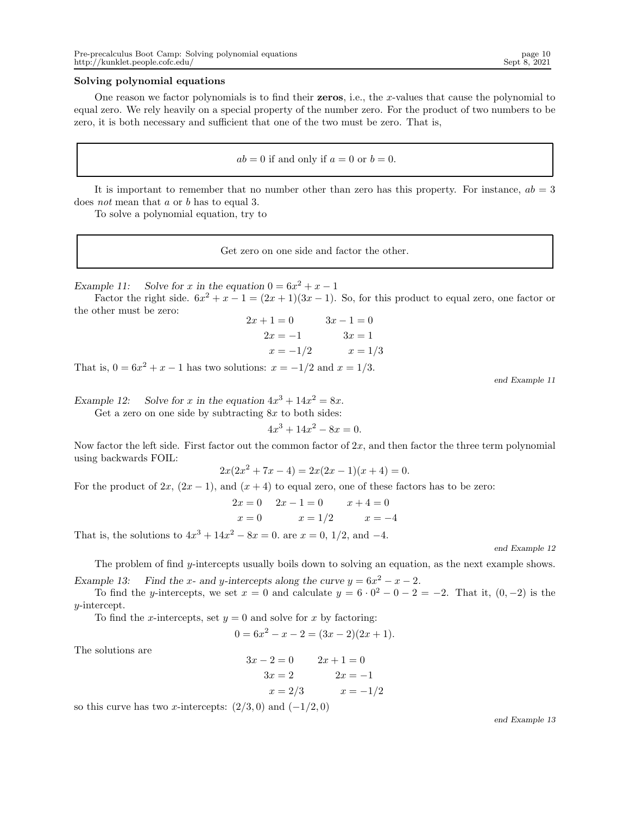## Solving polynomial equations

One reason we factor polynomials is to find their zeros, i.e., the x-values that cause the polynomial to equal zero. We rely heavily on a special property of the number zero. For the product of two numbers to be zero, it is both necessary and sufficient that one of the two must be zero. That is,

$$
ab = 0
$$
 if and only if  $a = 0$  or  $b = 0$ .

It is important to remember that no number other than zero has this property. For instance,  $ab = 3$ does not mean that a or b has to equal 3.

To solve a polynomial equation, try to

Get zero on one side and factor the other.

*Example 11:* Solve for x in the equation  $0 = 6x^2 + x - 1$ 

Factor the right side.  $6x^2 + x - 1 = (2x + 1)(3x - 1)$ . So, for this product to equal zero, one factor or the other must be zero:

$$
2x + 1 = 0 \t 3x - 1 = 0
$$
  

$$
2x = -1 \t 3x = 1
$$
  

$$
x = -1/2 \t x = 1/3
$$

That is,  $0 = 6x^2 + x - 1$  has two solutions:  $x = -1/2$  and  $x = 1/3$ .

end Example 11

Example 12: Solve for x in the equation  $4x^3 + 14x^2 = 8x$ .

Get a zero on one side by subtracting  $8x$  to both sides:

 $4x^3 + 14x^2 - 8x = 0.$ 

Now factor the left side. First factor out the common factor of  $2x$ , and then factor the three term polynomial using backwards FOIL:

$$
2x(2x^2 + 7x - 4) = 2x(2x - 1)(x + 4) = 0.
$$

For the product of  $2x$ ,  $(2x - 1)$ , and  $(x + 4)$  to equal zero, one of these factors has to be zero:

$$
2x = 0 \t 2x - 1 = 0 \t x + 4 = 0
$$
  

$$
x = 0 \t x = 1/2 \t x = -4
$$

That is, the solutions to  $4x^3 + 14x^2 - 8x = 0$ . are  $x = 0, 1/2$ , and  $-4$ .

end Example 12

The problem of find y-intercepts usually boils down to solving an equation, as the next example shows.

*Example 13:* Find the x- and y-intercepts along the curve  $y = 6x^2 - x - 2$ .

To find the y-intercepts, we set  $x = 0$  and calculate  $y = 6 \cdot 0^2 - 0 - 2 = -2$ . That it,  $(0, -2)$  is the y-intercept.

To find the x-intercepts, set  $y = 0$  and solve for x by factoring:

$$
0 = 6x^2 - x - 2 = (3x - 2)(2x + 1).
$$

The solutions are

$$
3x - 2 = 0 \t 2x + 1 = 0
$$
  
\n
$$
3x = 2 \t 2x = -1
$$
  
\n
$$
x = 2/3 \t x = -1/2
$$

so this curve has two x-intercepts:  $(2/3, 0)$  and  $(-1/2, 0)$ 

end Example 13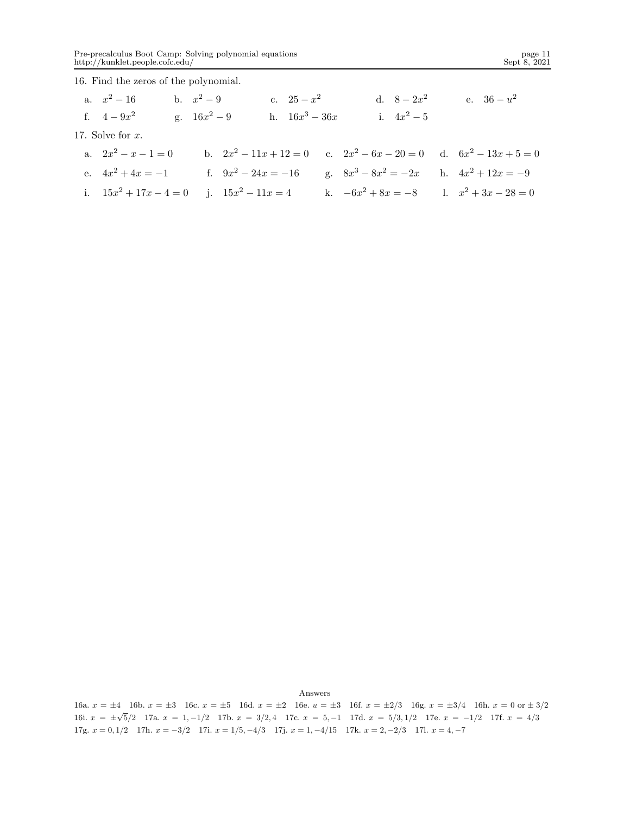16. Find the zeros of the polynomial.

| a. $x^2-16$           | b. $x^2-9$            | c. $25 - x^2$    | d. $8-2x^2$                                                              | e. $36 - u^2$        |
|-----------------------|-----------------------|------------------|--------------------------------------------------------------------------|----------------------|
| f. $4-9x^2$           | g. $16x^2 - 9$        | h. $16x^3 - 36x$ | i. $4x^2-5$                                                              |                      |
| 17. Solve for $x$ .   |                       |                  |                                                                          |                      |
| a. $2x^2 - x - 1 = 0$ |                       |                  | b. $2x^2 - 11x + 12 = 0$ c. $2x^2 - 6x - 20 = 0$ d. $6x^2 - 13x + 5 = 0$ |                      |
| e. $4x^2 + 4x = -1$   | f. $9x^2 - 24x = -16$ |                  | g. $8x^3 - 8x^2 = -2x$                                                   | h. $4x^2 + 12x = -9$ |

i.  $15x^2 + 17x - 4 = 0$  j.  $15x^2 - 11x = 4$  k.  $-6x^2 + 8x = -8$  l.  $x^2 + 3x - 28 = 0$ 

Answers

16a.  $x = \pm 4$  16b.  $x = \pm 3$  16c.  $x = \pm 5$  16d.  $x = \pm 2$  16e.  $u = \pm 3$  16f.  $x = \pm 2/3$  16g.  $x = \pm 3/4$  16h.  $x = 0$  or  $\pm 3/2$ 16i.  $x = \pm \sqrt{5}/2$  17a.  $x = 1, -1/2$  17b.  $x = 3/2, 4$  17c.  $x = 5, -1$  17d.  $x = 5/3, 1/2$  17e.  $x = -1/2$  17f.  $x = 4/3$ 17g.  $x = 0, 1/2$  17h.  $x = -3/2$  17i.  $x = 1/5, -4/3$  17j.  $x = 1, -4/15$  17k.  $x = 2, -2/3$  17l.  $x = 4, -7$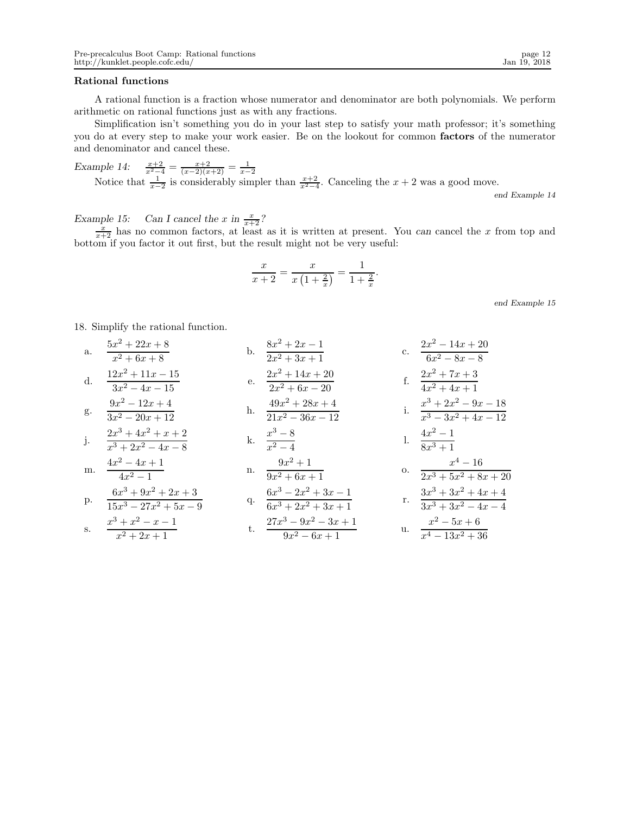# Rational functions

A rational function is a fraction whose numerator and denominator are both polynomials. We perform arithmetic on rational functions just as with any fractions.

Simplification isn't something you do in your last step to satisfy your math professor; it's something you do at every step to make your work easier. Be on the lookout for common factors of the numerator and denominator and cancel these.

*Example 14:*  $\frac{x+2}{x^2-4} = \frac{x+2}{(x-2)(x+2)} = \frac{1}{x-2}$ <br>Notice that  $\frac{1}{x-2}$  is considerably simpler than  $\frac{x+2}{x^2-4}$ . Canceling the  $x+2$  was a good move. end Example 14

*Example 15:* Can I cancel the x in  $\frac{x}{x+2}$ ?<br>  $\frac{x}{x+2}$  has no common factors, at least as it is written at present. You *can* cancel the x from top and bottom if you factor it out first, but the result might not be very useful:

$$
\frac{x}{x+2} = \frac{x}{x\left(1+\frac{2}{x}\right)} = \frac{1}{1+\frac{2}{x}}
$$

.

18. Simplify the rational function.

a. 
$$
\frac{5x^2 + 22x + 8}{x^2 + 6x + 8}
$$
  
\nb. 
$$
\frac{8x^2 + 2x - 1}{2x^2 + 3x + 1}
$$
  
\nc. 
$$
\frac{2x^2 - 14x + 20}{6x^2 - 8x - 8}
$$
  
\nd. 
$$
\frac{12x^2 + 11x - 15}{3x^2 - 4x - 15}
$$
  
\ne. 
$$
\frac{2x^2 + 14x + 20}{2x^2 + 6x - 20}
$$
  
\nf. 
$$
\frac{2x^2 + 7x + 3}{4x^2 + 4x + 1}
$$
  
\ng. 
$$
\frac{9x^2 - 12x + 4}{3x^2 - 20x + 12}
$$
  
\nh. 
$$
\frac{49x^2 + 28x + 4}{21x^2 - 36x - 12}
$$
  
\ni. 
$$
\frac{x^3 + 2x^2 - 9x - 18}{x^3 - 3x^2 + 4x - 12}
$$
  
\nj. 
$$
\frac{4x^2 - 4x + 1}{x^3 + 2x^2 - 1}
$$
  
\nm. 
$$
\frac{4x^2 - 4x + 1}{4x^2 - 1}
$$
  
\nn. 
$$
\frac{9x^2 + 1}{9x^2 + 6x + 1}
$$
  
\np. 
$$
\frac{6x^3 + 9x^2 + 2x + 3}{15x^3 - 27x^2 + 5x - 9}
$$
  
\nq. 
$$
\frac{6x^3 - 2x^2 + 3x - 1}{6x^3 + 2x^2 + 3x + 1}
$$
  
\nr. 
$$
\frac{3x^3 + 3x^2 + 4x + 4}{3x^3 + 3x^2 - 4x - 4}
$$
  
\ns. 
$$
\frac{x^3 + x^2 - x - 1}{x^2 + 2x + 1}
$$
  
\nt. 
$$
\frac{27x^3 - 9x^2 - 3x + 1}{9x^2 - 6x + 1}
$$
  
\nu. 
$$
\frac{x^2 - 5x + 6}{x^4 - 13x^2 + 36}
$$

end Example 15